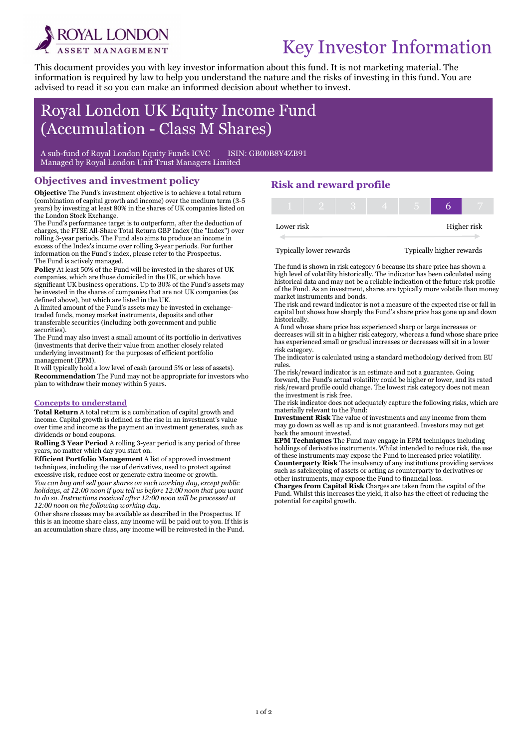

i

# Key Investor Information

This document provides you with key investor information about this fund. It is not marketing material. The information is required by law to help you understand the nature and the risks of investing in this fund. You are advised to read it so you can make an informed decision about whether to invest.

## Royal London UK Equity Income Fund (Accumulation - Class M Shares)

A sub-fund of Royal London Equity Funds ICVC ISIN: GB00B8Y4ZB91 Managed by Royal London Unit Trust Managers Limited

#### Objectives and investment policy

Objective The Fund's investment objective is to achieve a total return (combination of capital growth and income) over the medium term (3-5 years) by investing at least 80% in the shares of UK companies listed on the London Stock Exchange.

The Fund's performance target is to outperform, after the deduction of charges, the FTSE All-Share Total Return GBP Index (the "Index") over rolling 3-year periods. The Fund also aims to produce an income in excess of the Index's income over rolling 3-year periods. For further information on the Fund's index, please refer to the Prospectus. The Fund is actively managed.

Policy At least 50% of the Fund will be invested in the shares of UK companies, which are those domiciled in the UK, or which have significant UK business operations. Up to 30% of the Fund's assets may be invested in the shares of companies that are not UK companies (as defined above), but which are listed in the UK.

A limited amount of the Fund's assets may be invested in exchangetraded funds, money market instruments, deposits and other transferable securities (including both government and public securities).

The Fund may also invest a small amount of its portfolio in derivatives (investments that derive their value from another closely related underlying investment) for the purposes of efficient portfolio management (EPM).

It will typically hold a low level of cash (around 5% or less of assets). Recommendation The Fund may not be appropriate for investors who plan to withdraw their money within 5 years.

#### Concepts to understand

Total Return A total return is a combination of capital growth and income. Capital growth is defined as the rise in an investment's value over time and income as the payment an investment generates, such as dividends or bond coupons.

Rolling 3 Year Period A rolling 3-year period is any period of three years, no matter which day you start on.

Efficient Portfolio Management A list of approved investment techniques, including the use of derivatives, used to protect against excessive risk, reduce cost or generate extra income or growth.

You can buy and sell your shares on each working day, except public holidays, at 12:00 noon if you tell us before 12:00 noon that you want to do so. Instructions received after 12:00 noon will be processed at 12:00 noon on the following working day.

Other share classes may be available as described in the Prospectus. If this is an income share class, any income will be paid out to you. If this is an accumulation share class, any income will be reinvested in the Fund.

## Risk and reward profile

| Lower risk |  |  |  | Higher risk |
|------------|--|--|--|-------------|

Typically lower rewards Typically higher rewards

The fund is shown in risk category 6 because its share price has shown a high level of volatility historically. The indicator has been calculated using historical data and may not be a reliable indication of the future risk profile of the Fund. As an investment, shares are typically more volatile than money

market instruments and bonds. The risk and reward indicator is not a measure of the expected rise or fall in capital but shows how sharply the Fund's share price has gone up and down historically.

A fund whose share price has experienced sharp or large increases or decreases will sit in a higher risk category, whereas a fund whose share price has experienced small or gradual increases or decreases will sit in a lower risk category.

The indicator is calculated using a standard methodology derived from EU rules.

The risk/reward indicator is an estimate and not a guarantee. Going forward, the Fund's actual volatility could be higher or lower, and its rated risk/reward profile could change. The lowest risk category does not mean the investment is risk free.

The risk indicator does not adequately capture the following risks, which are materially relevant to the Fund:

Investment Risk The value of investments and any income from them may go down as well as up and is not guaranteed. Investors may not get back the amount invested.

EPM Techniques The Fund may engage in EPM techniques including holdings of derivative instruments. Whilst intended to reduce risk, the use of these instruments may expose the Fund to increased price volatility. Counterparty Risk The insolvency of any institutions providing services such as safekeeping of assets or acting as counterparty to derivatives or other instruments, may expose the Fund to financial loss.

Charges from Capital Risk Charges are taken from the capital of the Fund. Whilst this increases the yield, it also has the effect of reducing the potential for capital growth.